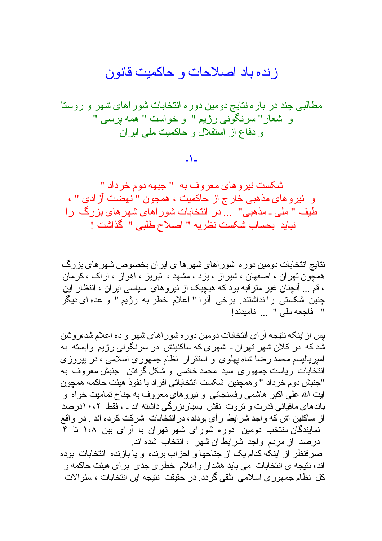## ز نده باد اصلاحات و حاكميت قانو ن

مطالبی چند در بار ه نتایج دومین دور ه انتخابات شور اهای شهر و روستا و شعار " سرنگوني رژيم " و خواست " همه برسي " و دفاع از استقلال و حاكميت ملي اير ان

 $\Delta$ 

شکست نیر و های معر و ف به " جبهه دو م خر داد " و نيروهاي مذهبي خارج از حاكميت ، همچون " نهضت آزادي " ، طیف " ملی ـ مذهبی" ... در انتخابات شور اهای شهر های بزرگ را نبايد بحساب شكست نظريه " اصلاح طلبي " گذاشت !

نتایج انتخابات دومین دور ه شور اهای شهر ها ی ایر ان بخصوص شهر های بز رگ همچون تهران ، اصفهان ، شیراز ، بزد ، مشهد ، نبریز ، اهواز ، اراک ، کرمان ، قم ... آنچنان غیر متر قبه بود که هیچیک از نیر و های سیاسی ایر ان ، انتظار این چنین شکستی رانداشتند. برخی آنرا " اعلام خطر به رژیم " و عده ای دیگر " فاجعه ملي " ... ناميدند!

بس از اینکه نتیجه آر ای انتخابات دو مین دور ه شور اهای شهر و ده اعلام شد،روشن شد که در کلان شهر نهران ـ شهری که ساکنینش در سرنگونی رژیم وابسته به امیریالیسم محمد رضا شاه بهلوی و استقرار نظام جمهوری اسلامی ، در بیروزی انتخابات ریاست جمهوری سید محمد خاتمی و شکل گرفتن جنبش معروف به "جنبش دو م خر داد " و همچنين شكست انتخاباتي افر اد با نفو ذ هيئت حاكمه همچو ن أيت الله على اكبر هاشمي رفسنجاني و نيروهاي معروف به جناح نماميت خواه و باندهای مافیائی قدرت و نروت نقش بسیاربزرگی داشته اند ـ ، فقط ۰،۲درصد از ساکنین اش که و اجد شر ایط ار أی بو دند، در انتخابات شرکت کر ده اند . در و اقع نمایندگان منتخب دومین دوره شورای شهر تهران با آرای بین ۱،۸ تا ۴ درصد از مردم واجد شرایط آن شهر ، انتخاب شده اند.

صرفنظر از اینکه کدام یک از جناحها و احزاب برنده و یا بازنده انتخابات بوده اند، نتیجه ی انتخابات ًمی باید هشدار واعلام خطری جدی بر ای هیئت حاکمه و كل نظام جمهور ي اسلامي نلقي گردد. در حقيقت نتيجه اين انتخابات ، سئو الات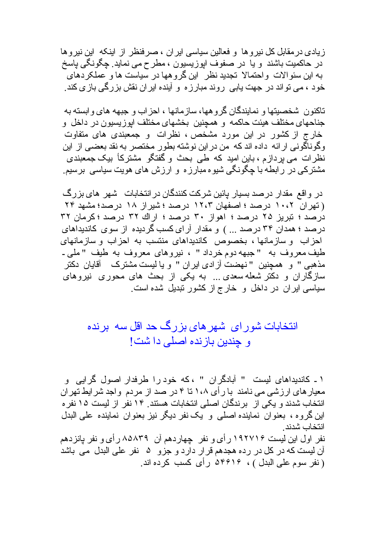ز بادی در مقابل کل نیر و ها و فعالین سیاسی ایر ان ، صر فنظر از اینکه این نیر و ها در حاکمیت باشند و یا در صفوف اپوزیسیون ، مطرح می نماید ِ چگونگی پاسخ به این سئو الات و احتمالا تجدید نظر این گر و هها در سیاست ها و عملکر دهای خو د ، مے تو اند در جھت بابے ر و ند مبار ز ہ و آبندہ ابر ان نقش بز ر گے باز ی کند ِ

تاکنون شخصیتها و نمایندگان گر و هها، ساز مانها ، احز اب و جبهه های و ابسته به جناحهای مختلف هیئت حاکمه و همچنین بخشهای مختلف ابوزیسیون در داخل و خارج از کشور در این مورد مشخص ، نظرات و جمعبندی های متفاوت وگوناگونی ار ائه داده اند که من در این نوشته بطور مختصر به نقد بعضی از این نظرات می بردازم ، باین امید که طی بحث و گفتگو مشترکاً بیک جمعبندی مشترکی در رابطه با چگونگی شیوه مبارزه و ارزش های هویت سیاسی برسیم ِ

در و اقع مقدار در صد بسبار بائین شر کت کنندگان در انتخابات شهر های بز ر گ ( تهر ان ۱۰،۲ در صد ؛ اصفهان ۱۲،۳ در صد ؛ شیر از ۱۸ در صد؛ مشهد ۲۴ درصد ؛ تبریز ۲۵ درصد ؛ اهواز ۳۰ درصد ؛ اراك ۳۲ درصد ؛ كرمان ۳۲ در صد ؛ همدان ۳۴ در صد ... ) و مقدار آر ای کسب گر دیده از سوی کاندیداهای احزاب وسازمانها، بخصوص كانديداهاى منتسب به احزاب وسازمانهاى طيف معروف به " جبهه دوم خرداد " ، نيروهاي معروف به طيف "ملي ـ مذهبي " و همچنين "نهضت آزادي ايران " و يا ليست مشتر ك آقايان دكتر سازگاران و دکتر شعله سعدی ... به یکی از بحث های محوری نیروهای سیاسی ایران در داخل و خارج از کشور تبدیل شده است.

انتخابات شو ر ای شهر های بز ر گ حد اقل سه بر نده و چندین بازنده اصلی دا شت!

١ ـ كانديداهاى ليست " آبادگران " ، كه خود را طرفدار اصول گرايى و معیار های ارزشی می نامند با رأی ۱،۸ تا ۴ در صد از مردم واجد شرایط تهران انتخاب شدند و یکی از برندگان اصلی انتخابات هستند ِ ۱۴ نفر از لیست ۱۵ نفر ه این گروه ، بعنوان نماینده اصلبی و یک نفر دیگر نیز بعنوان نماینده علمی البدل انتخاب شدند نفر اول این لیست ۱۹۲۷۱۶ رای و نفر چهاردهم آن ۸۵۸۳۹ رای و نفر بانزدهم آن لیست که در کل در رده هجدهم قر ار دارد و جزو ۵۰ نفر علی البدل می باشد (نفر سوم على البدل ) ، ٥۴۶۱۶ رأى كسب كرده اند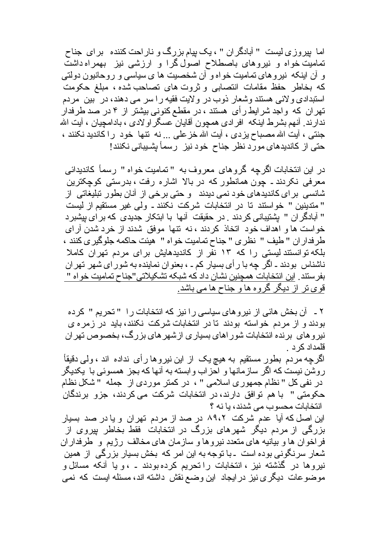اما بیروزی لیست " آبادگران " ، یک بیام بزرگ و نار احت کننده بر ای جناح نمامیت خواه و نیروهای باصطلاح اصول گرا و ارزشی نیز بهمراه داشت و آن اینکه نیروهای تمامیت خواه و آن شخصیت ها ی سیاسی و روحانیون دولتی که بخاطر حفظ مقامات انتصابی و نروت های تصاحب شده ، مبلغ حکومت استبدادی ولائی هستند وشعار ذوب در ولایت فقیه را سر می دهند، در بین مردم تهران که واجد شرایط رأی هستند ، در مقطع کنونی بیشتر از ۴ در صد طرفدار ندارند ِ أنهم بِشرط اينكه ۖ افرادي همچون أقايان عسگر او لادي ، بادامچيان ، أيت الله جنتي ، أيت الله مصباح يزدي ، أيت الله خزعلي ... نه نتها خود را كانديد نكنند ، حتی از کاندیدهای مورد نظر جناح خود نیز رسمأ بشـیبانی نکنند!

در این انتخابات اگرچه گروهای معروف به "تمامیت خواه " رسماً کاندیدائی معرفی نکردند ـ چون همانطور که در بالا اشاره رفت ، بدرستی کوچکترین شانسی بر ای کاندیدهای خود نمی دیدند و حتی برخی از آنان بطور تبلیغاتی از " مندينين " خواسنند نا در انتخابات شركت نكنند ـ ولى غير مستقيم از ليست " آبادگر ان " بِشْتِيبانی کردند . در حقیقت آنها با ابتکار جدیدی که بر ای بیشبر د خو است ها و اهداف خود اتخاذ كردند ، نه نتها موفق شدند از خرد شدن آر اى طرفداران "طيف " نظرى " جناح تماميت خواه " هيئت حاكمه جلوگيرى كنند ، بلکه تو انستند لیستی را که ۱۳ نفر از کاندیدهایش بر ای مردم تهران کاملا ناشناس بودند ـ اگر چه با ر أي بسيار كم ـ ، بعنوان نماينده به شوراي شهر تهران بفرستند. این انتخابات همچنین نشان داد که شبکه تشکیلاتی"جناح تمامیت خو اه " قوی تر از دیگر گروه ها و جناح ها می باشد ِ

٢ ـ آن بخش هائي از نيروهاي سياسي را نيز كه انتخابات را " تحريم " كرده بودند و از مردم خواسته بودند تا در انتخابات شرکت نکنند، باید در زمره ی نیروهای برنده انتخابات شور اهای بسیاری ازشهر های بزرگ، بخصوص تهران قلمداد کر د ۱

اگرچه مردم بطور مستقیم به هیچ یک از این نیروها رأی نداده اند ، ولمی دقیقاً روشن نیست که اگر سازمانها و احزاب وابسته به آنها که بجز همسوئی با یکدیگر در نفي كل " نظام جمهوري اسلامي " ، در كمتر موردي از جمله " شكل نظام حکومتی " با هم توافق دارند، در انتخابات شرکت می کردند، جزو برندگان انتخابات محسوب می شدند، یا نه ؟

این اصل که آیا عدم شرکت ۸۹،۲ در صد از مردم تهران و یا در صد بسیار بزرگی از مردم دیگر شهرهای بزرگ در انتخابات فقط بخاطر بپروی از فراخوان ها و بیانیه های متعدد نیروها و سازمان های مخالف رژیم و طرفداران شعار سرنگونی بوده است ـ با توجه به این امر که بخش بسیار بزرگی از همین نیروها در گذشته نیز ، انتخابات را تحریم کرده بودند ـ ،و یا آنکه مسائل و موضوعات دیگری نیز در ایجاد این وضع نقش داشته اند، مسئله ایست که نمی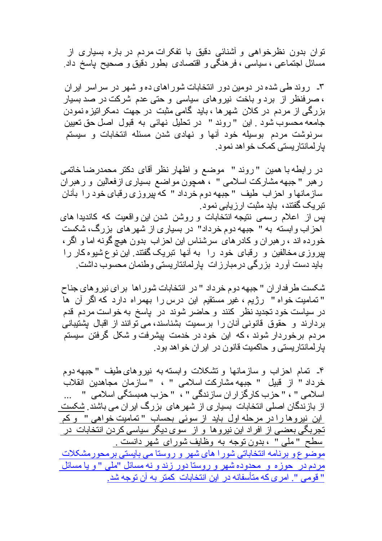تو ان بدو ن نظر خو اهي و آشنائي دقيق با نفكر ات مر دم در بار ه بسيار ي از مسائل اجتماعی ، سیاسی ، فرهنگی و اقتصادی بطور دقیق و صحیح پاسخ داد

۳ـ - روند طـی شده در دومین دور انتخابات شور اهای ده و شـهر در سر اسر ایر ان ، صرفنظر از برد و باخت نیروهای سیاسی و حتی عدم شرکت در صد بسیار بزرگی از مردم در کلان شهرها ، باید گامی مثبت در جهت دمکر انیز ه نمودن جامعه محسوب شود <sub>.</sub> این "روند " در تحلیل نهائ<sub>ی</sub> به قبول اصل حق تعیین سرنوشت مردم بوسیله خود أنها و نهادی شدن مسئله انتخابات و سیستم بارلمانتاریستی کمک خواهد نمود.

در رابطه با همین " روند " ً موضع و اظهار نظر أقای دکتر محمدرضا خاتمی رهبر " جبهه مشاركت اسلامى " ، همچون مواضع بسیاری ازفعالین و رهبران سازمانها و احزاب طيف "جبهه دوم خرداد " كه بپروزي رقباي خود را بأنان نبر یک گفتند، باید مثبت ارزیابی نمود.

پس از اعلام رسمی نتیجه انتخابات و روشن شدن این واقعیت که کاندیدا های احز اب و ابسته به " جبهه دوم خرداد" در بسیاری از شهر های بزرگ، شکست خورده اند ، ر هبر ان و کادر های سرشناس این احز اب بدون هیچ گونه اما و اگر ، بیروزی مخالفین و رقبای خود را به آنها نبریک گفتند این نوع شیوه کار را باید دست آورد بزرگی درمبارزات پارلمانتاریستی وطنمان محسوب داشت.

شكست طرفدار ان " جبهه دوم خرداد " در انتخابات شور اها بر ای نیروهای جناح " تمامیت خواه " رژیم ، غیر مستقیم این درس ر ا بهمر اه دارد که اگر آن ها در سیاست خود تجدید نظر کنند و حاضر شوند در یاسخ به خواست مردم قدم بردارند و حقوق قانونی آنان را برسمیت بشناسند، می توانند از اقبال پشتیبانی مر دم بر خور دار شوند ، که این خود در خدمت بیشر فت و شکل گرفتن سیستم بارلمانتاریستی و حاکمیت قانون در ایر ان خواهد بود.

۴ـ تمام احز اب و ساز مانها و نشكلات و ابسته به نير و هاى طيف " جبهه دو م خرداد " از قبیل " جبهه مشارکت اسلامی " ، "سازمان مجاهدین انقلابْ اسلامی " ، " حزب کارگزاران سازندگی " ، " حزب همبستگی اسلامی "  $\mathbf{r}$ از بازندگان اصلی انتخابات بسیار ی از شهر های بزرگ ایر ان می باشند. <u>شکست </u> این نیروها را در مرحله اول باید از سوئی بحساب "تمامیت خواهی " و کم <u>تجربگی بعضی از افراد این نیروها و از سوی دیگر سیاسی کردن انتخابات در </u> سطح "ملي" ،بدون توجه به وظايف شوراي شهر دانست . موضوع و برنامه انتخاباتی شور ا های شهر و روستا می بایستی برمحورمشکلات مردم در حوزه و محدوده شهر و روستا دور زند و نه مسائل "ملی " و یا مسائل " قومي ". امرى كه متأسفانه در اين انتخابات كمتر به آن توجه شد.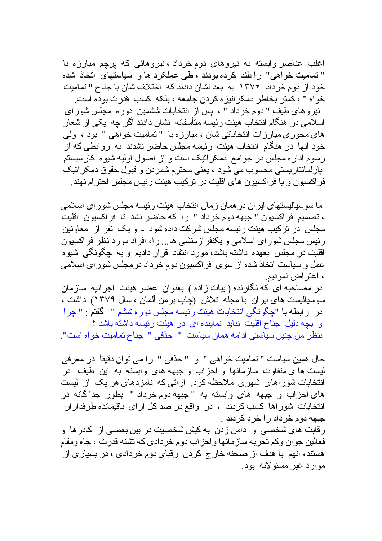اغلب عناصر وابسته به نیروهای دوم خرداد ، نیروهائی که برجم مبارزه با " تمامیت خواهی" را بلند کر ده بودند ، طی عملکر د ها و سیاستهای اتخاذ شده خود از دوم خرداد ۱۳۷۶ به بعد نشان دادند که اختلاف شان با جناح " تمامیت خواه " ، كمتر بخاطر دمكر اتيز ه كردن جامعه ، بلكه كسب قدرت بوده است. نیروهای طیف " دوم خرداد " ، پس از انتخابات ششمین دوره مجلس شورای اسلامی در ِ هنگام انتخاب هیئت ر ئیسه متأسفانه نشان دادند اگر ِ چه پکی از ِ شعار های محوری مبارزات انتخاباتی شان ، مبارزه با "تمامیت خواهی " بود ، ولمی خود آنها در هنگام انتخاب هیئت رئیسه مجلس حاضر نشدند به روابطی که از رسوم ادار ه مجلس در جوامع دمکر انیک است و از اصول اولیه شیوه کارسیستم پارلمانتاریستی محسوب می شود ، یعنی محترم شمردن و قبول حقوق دمکر انیک فر اکسپو ن و یا فر اکسپو ن های اقلیت در اتر کیب هیئت ر ئیس مجلس احتر ام نهند .

ما سو سیالیستهای ایر ان در همان ز مان انتخاب هیئت ر ئیسه مجلس شو ر ای اسلامی ، تصميم فراكسيون " جبهه دوم خر داد " را كه حاضر نشد تا فراكسيون اقليت مجلس در تر کیب هیئت ر ئیسه مجلس شر کت داده شو د \_ و یک نفر از \_ معاو نین رئیس مجلس شورای اسلامی و یکنفر ازمنشی ها ... را، افراد مورد نظر فراکسیون اقلیت در مجلس بعهده داشته باشد، مورد انتقاد قرار دادیع و به چگونگی شیوه عمل و سیاست اتخاذ شده از سوی فراکسیون دوم خرداد درمجلس شور ای اسلامی ، اعتر اض نموديم.

در مصاحبه ای که نگارنده ( بیات زاده ) بعنوان عضو هیئت اجرائیه سازمان سوسیالیست های ایر ان با مجله تلاش (چاپ بر من آلمان ، سال ۱۳۷۹) داشت ، در رابطه با "چگونگی انتخابات هیئت رئیسه مجلس دوره ششم " گفتم : " چرا و بچه دلیل جناح اقلیت نباید نماینده ای در هیئت رئیسه داشته باشد ؟ بنظر من چنین سیاستی ادامه همان سیاست " حذفی " جناح تمامیت خواه است".

حال همين سياست " تماميت خواهي " و " حذفي " را مي توان دقيقاً در معرفي لیست ها ی متفاوت سازمانها و احزاب و جبهه های وابسته به این طیف در انتخابات شور اهای شهر ی ملاحظه کر د ِ آر ائے که نامز دهای هر یک از لیست های احزاب و جبهه های وابسته به "جبهه دوم خرداد " بطور جداگانه در انتخابات شوراها کسب کردند ، در واقع در صدکل آرای باقیمانده طرفداران جبهه دوم خرداد را خرد كردند .

رقابت های شخصبی و دامن زدن به کیش شخصیت در بین بعضبی از کادرها و فعالین جو ان وکم تجربه ساز مانها و احز اب دوم خردادي که تشنه قدرت ، جاه ومقام هستند، آنهم با هدف از صحنه خارج کردن رقبای دوم خردادی ، در بسیاری از مو ار د غير مسئو لانه بود.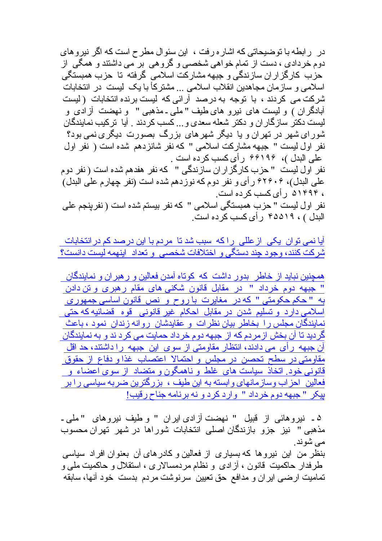در ( رابطه با نو ضبحاتی که اشار ه رفت ، این سئو ال مطرح است که اگر نیر و های دوم خردادی ، دست از نمام خواهی شخصی و گروهی بر می داشتند و همگی از حزب کارگزاران سازندگی و جبهه مشارکت اسلامی گرفته تا حزب همبستگی اسلامی و ساز مان مجاهدین انقلاب اسلامی ... مشتر کأ با یک لیست در انتخابات شركت مى كردند ، با توجه به درصد آرائى كه ليست برنده انتخابات (ليست آبادگران ) و لیست های نیرو های طیف " ملی ـ مذهبی " و نهضت آزادی و لیست دکتر ساز گار ان و دکتر شعله سعدی و ... کسب کر دند . آیا تر کیب نمایندگان شورای شهر در تهران و یا دیگر شهرهای بزرگ بصورت دیگری نمی بود؟ نفر اول ليست " جبهه مشاركت اسلامي " كه نفر شانزدهم شده است ( نفر اول علی البدل )، ۶۶۱۹۶ ر أي كسب كر ده است . نفر اول لیست " حزب کارگزاران سازندگی " که نفر هفدهم شده است ( نفر دوم

على البدل)، ٢٢٤٠٢ رأى و نفر دوم كه نوزدهم شده است (نفر چهارم على البدل) ، ۵۱۴۹۴ رأی کسب کرده است.

نفر اول ليست " حزب همبستگي اسلامي " كه نفر بيستم شده است ( نفرينجم علي البدل ) ، ۶۵۵۱۹ ر أي كسب كر ده است ِ

آیا نمی توان یکی از عللی را که سبب شد تا مردم با این در صد کم در انتخابات شركت كنند، وجود چند دستگي و اختلافات شخصي و تعداد اينهمه ليست دانست؟

همچنین نباید از خاطر بدور داشت که کوتاه آمدن فعالین و ر هبر ان و نمایندگان " جبهه دوم خرداد " در مقابل قانون شکنی های مقام رهبری و تن دادن <mark>"</mark> به "حکم حکومتی" که در مغایرت با روح و نص قانون اساسی جمهوری اسلامی دارد و تسلیم شدن در مقابل احکام غیر قانونی قوه قضائیه که حتی نمایندگان مجلس را بخاطر بیان نظرات و عقایدشان روانه زندان نمود ، باعث گر دید تا آن بخش از مر دم که از جبهه دو م خر داد حمایت می کر د ند و به نمایندگان آن جبهه رأى مى دادند، انتظار مقاومتى از سوى اين جبهه را داشتند، حد اقل مقاومتی در سطح تحصن در مجلس و احتمالا اعتصاب غذا و دفاع از حقوق قانونی خود. اتخاذ سیاست های غلط و ناهمگون و متضاد از سوی اعضاء و فعالین ِ احز اب و ساز مانهای و ابسته به این طبف ، بز ر گتر بن ضر به سیاسی ر ا بر بيكر "جبهه دوم خرداد " وارد كرد و نه برنامه جناح رقيب!

۵ ـ نيروهائي از قبيل " نهضت آز ادي اير ان " و طيف نيروهاي " ملي ـ مذهبی " نیز جزو بازندگان اصلی انتخابات شوراها در شهر تهران محسوب مے شو ند

بنظر من این نیروها که بسیاری از فعالین و کادرهای آن بعنوان افراد سیاسی طرفدار حاکمیت قانون ، آزادی و نظام مردمسالاری ، استقلال و حاکمیت ملی و تماميت ارضـي ايران و مدافـع حق تعيين سرنوشت مردم بدست خود آنـها، سابقه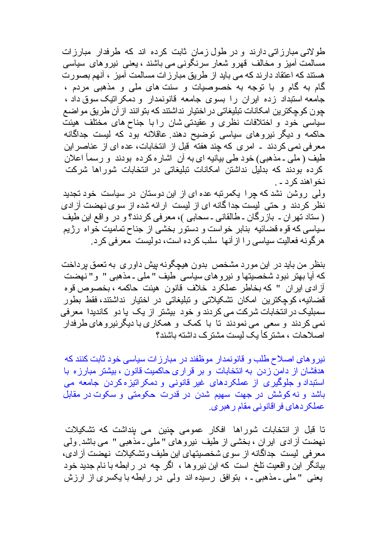طو لانے مبار ز اتے دار ند و در طول ز مان ثابت کر دہ اند که طر فدار مبار ز ات مسالمت آمیز و مخالف قهرو شعار سرنگونی می باشند ، یعنی نیروهای سیاسی هستند که اعتقاد دار ند که می باید از طریق مبار ز ات مسالمت آمیز ، آنهم بصور ت گام به گام و با توجه به خصوصیات و سنت های ملی و مذهبی مردم ، جامعه استبداد زده ایران را بسوی جامعه قانونمدار و دمکراتیک سوق داد ، چون كوچكترين امكانات تبليغاتي در اختيار نداشتند كه بتوانند از آن طريق مواضع سیاسی خود و اختلافات نظری و عقیدتی شان رابا جناح های مختلف هیئت حاکمه و دیگر نیروهای سیاسی نوضیح دهند عاقلانه بود که لیست جداگانه معرفی نمی کردند ۔ امری که چند هفته قبل از انتخابات، عده ای از عناصر این طيف ( ملي ـ مذهبي) خود طي بيانيه اي به أن اشار ه كرده بودند و رسماً اعلان کرده بودند که بدلیل نداشتن امکانات تبلیغاتی در انتخابات شوراها شرکت نخو اهند کر د ۔

ولی روشن نشد که چرا یکمرتبه عده ای از این دوستان در سیاست خود تجدید نظر كردند و حتى ليست جدا گانه اى از ليست ارائه شده از سوى نهضت آزادى (ستاد تهران ـ بازرگان ـ طالقاني ـ سحابي )، معرفي كردند؟ و در واقع اين طيف سیاسی که قوه قضائیه بنابر خواست و دستور بخشی از جناح تمامیت خواه رژیم هر گونه فعالیت سیاسی را از آنها سلب کر ده است، دولیست معرفی کر د.

بنظر من بايد در اين مورد مشخص بدون هيچگونه بيش داور ي به تعمق بر داخت که آیا بهتر نبود شخصیتها و نیروهای سیاسی طیف " ملی ـ مذهبی " و" نهضت آز ادي اير ان " كه بخاطر عملكر د خلاف قانون هيئت حاكمه ، بخصوص قو ه قضائیه،کوچکترین امکان تشکیلاتی و تبلیغاتی در اختیار نداشتند،فقط بطور سمبلیک در انتخابات شرکت می کردند و خود بیشتر از یک یا دو کاندیدا معرفی نمی کردند و سعی می نمودند تا با کمک و همکاری با دیگرنیروهای طرفدار اصلاحات ، مشتر کأ بک لبست مشتر ک داشته باشند؟

نیر و های اصلاح طلب و قانونمدار موظفند در مبارز ات سیاسی خود ثابت کنند که هدفشان از دامن زدن به انتخابات و بر قراری حاکمیت قانون ، بیشتر مبارزه با استبداد و جلوگیر ی از عملکر دهای غیر قانونی و دمکر انیز ه کر دن جامعه می باشد و نه کوشش در جهت سهیم شدن در قدرت حکومتی و سکوت در مقابل عملکردهای فر اقانونی مقام ر هبر ی.

تا قبل از انتخابات شوراها افکار عمومی چنین می بنداشت که تشکیلات نهضت أزادي ايران ، بخشي از طيف نيروهاي " ملي ـ مذهبي " مي باشد ولي معرفی لیست جداگانه از سوی شخصیتهای این طیف وتشکیلات نهضت آزادی، بیانگر این واقعیت تلخ است که این نیروها ، اگر چه در رابطه با نام جدید خود یعنی " ملی ۔مذهبی ۔ ، بنوافق رسیده اند ولی در رابطه با یکسری از ارزش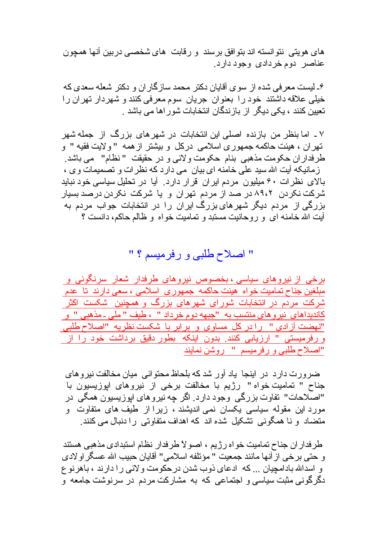هاي هو ڀِتي ِ نتو انسته اند ٻِتو افق پر سند و ر قابت هاي شخصبي در ٻين آنها همچو ن عناصر دوم خردادي وجود دارد.

۶ـ لیست معرفي شده از سوي أقايان دكتر محمد سازگار ان و دكتر شعله سعدي كه خيلي علاقه داشتند خود را بعنوان جريان سوم معرفي كنند و شهردار نهران را تعبین کنند ، بکی دیگر از باز ندگان انتخابات شور اها می باشد .

۷ ـ اما بنظر من بازنده اصلی این انتخابات در شهرهای بزرگ از جمله شهر نهران ، هیئت حاکمه جمهوری اسلامی درکل و بیشتر از همه "ولایت فقیه " و طرفدار ان حكومت مذهبي بنام حكومت ولائي و در حقيقت "نظام" مي باشد ِ ز مانیکه آیت الله سید علی خامنه ای بیان می دار د که نظر ات و نصمیمات و ی ، بالای نظرات ۶۰ میلیون مردم ایران قرار دارد. آیا در نحلیل سیاسی خود نباید شرکت نکردن ۸۹،۲ در صد از مردم تهران و یا شرکت نکردن درصد بسیار بزرگی از مردم دیگر شهر های بزرگ ایر ان را در انتخابات جواب مردم به آيت الله خامنه اي و روحانيت مستبد و تماميت خواه و ظالم حاكم، دانست ؟

## " اصلاح طلبي و رفرميسم ؟ "

برخی از نیروهای سیاسی ، بخصوص نیروهای طرفدار شعار سرنگونی و ۔<br>مُبلّغین جناح تمامیت خواہ ہیئت حاکمه جمهوری اسلامی ، سعی دارند تا عدم شرکت مردم در انتخابات شورای شهرهای بزرگ و همچنین شکست اکثر "نهضت آزادی " را در کل مساوی و برابر با شکست نظریه "اصلاح طلبی و رفرمیستی " ارزیابی کنند. بدون اینکه بطور دقیق برداشت خود را از "اصلاح طلبي ورفرميسم " روشن نمايند

ضر ورت دار د در اینجا یاد آور شد که بلحاظ محتوائی میان مخالفت نیر و های جناح " تماميت خواه " رژيم با مخالفت برخي از نيروهاي ايوزيسيون با "اصلاحات" نفاوت بزرگي وجود دارد<sub>.</sub> اگر چه نيروهاي اپوزيسيون همگي در مورد این مقوله سیاسی یکسان نمی اندیشند ، زیرا از طیف های متفاوت و منضاد و نا همگونی تشکیل شده اند که اهداف متفاوتی را دنبال می کنند.

طرفدار ان جناح تمامیت خواه رژیم ، اصولاً طرفدار نظام استبدادی مذهبی هستند و حتَّى برخي از آنها مانند جمعيت " مؤتلفه اسلامي" آقايان حبيب الله عسكر او لادي و اسدالله بادامجيان ... كه ادعاى ذوب شدن در حكومت و لائي را دار ند ، باهر نو ع دگرگونی مثبت سیاسی و اجتماعی که به مشارکت مردم در سرنوشت جامعه و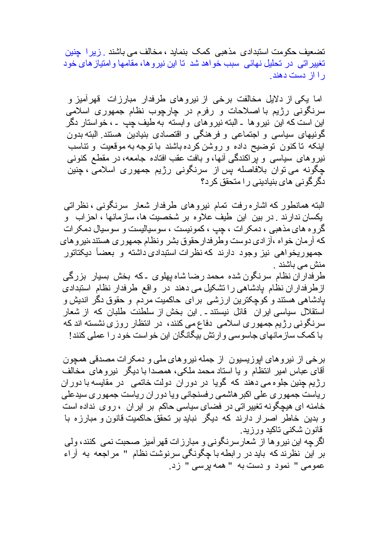تضعیف حکومت استبدادی مذهبی کمک بنماید ، مخالف می باشند ۱٫ پر احتین تغییر اتبی در تحلیل نهائی سبب خو اهد شد. تا این نیر و ها، مقامها و امتیاز های خو د ر ا از ادست دهند.

اما یکی از دلایل مخالفت برخی از نیروهای طرفدار مبارزات قهرآمیز و سرنگونی رژیم با اصلاحات و رفرم در چارچوب نظام جمهوری اسلامی این است که این نیرو ها ـ البته نیرو های و ابسته به طیف چپ ـ ، خو استار دگر گونیهای سیاسی و اجتماعی و فرهنگی و اقتصادی بنیادین هستند البته بدون اینکه تاکنون توضیح داده و روشن کرده باشند با توجه به موقعیت و نتاسب نیروهای سیاسی و بر اکندگی آنها، و بافت عقب افتاده جامعه، در مقطع کنونی چگونه می توان بلافاصله پس از سرنگونی رژیم جمهوری اسلامی ، چنین دگر گونی های بنیادینی را متحقق کر د؟

البته همانطور که اشاره رفت تمام نیروهای طرفدار شعار سرنگونی ، نظراتی يكسان ندارند ٍ در بين اين طيف علاوه بر شخصيت ها، سازمانها ، احزاب و گر و ه های مذهبی ، دمکر ات ، جب ، کمو نیست ، سو سیالیست و سو سیال دمکر ات که آرمان خواه ،آزادي دوست وطرفدارحقوق بشر ونظام جمهوري هستند،نيروهاي جمهور یخو اهی نیز وجود دارند که نظر ات استبدادی داشته و بعضاً دیکتاتور منش مے باشند

طرفدار ان نظام سرنگون شده محمد رضا شاه بهلوی ۔که بخش بسیار بزرگی ازطرفداران نظام پادشاهی را تشکیل می دهند در واقع طرفدار نظام استبدادی بادشاهی هستند و کوچکترین ارزشی برای حاکمیت مردم و حقوق دگر اندیش و استقلال سیاسی ایر ان قائل نیستند ـ این بخش از سلطنت طلبان که از شعار سرنگونی رژیم جمهوری اسلامی دفاع می کنند، در انتظار روزی نشسته اند که با کمک ساز مانهای جاسوسی و ار نش بیگانگان این خو است خو د ر ا عملی کنند!

بر خي از نير و هاي ابو ز بسيو ن از جمله نير و هاي ملي و دمكر ات مصدقي همجو ن أقای عباس امیر انتظام و یا استاد محمد ملکی، همصدا با دیگر ِ نیر و های مخالف ر ژبم جنین جلو ہ می دھند که گویا در دور ان دولت خاتمی ِ در مقایسه با دور ان ریاست جمهوری علی اکبر هاشمی رفسنجانی ویا دوران ریاست جمهوری سیدعلی خامنه ای هیچگونه تغییر اتی در فضای سیاسی حاکم بر ایران ، روی نداده است و بدین خاطر اصر ار دارند که دیگر ِ نباید بر تحقق حاکمیت قانون و مبارز ه با قانون شکنی تاکید ورزید

اگرچه این نیروها از شعارسرنگونی و مبارزات قهرآمیز صحبت نمی کنند، ولی بر این نظرند که باید در رابطه با چگونگی سرنوشت نظام " مراجعه به آراء عمومی " نمود و دست به " همه برسی " زد.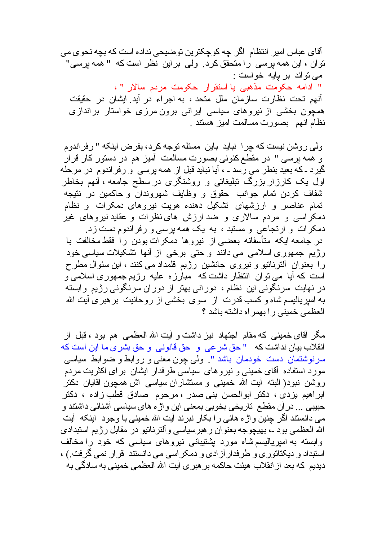آقای عباس امیر انتظام اگر چه کوچکترین توضیحی نداده است که بچه نحوی می توان ، این همه برسی را متحقق کرد . ولی براین نظر است که " همه برسی" مے تو اند بر بابه خو است : " ادامه حکومت مذهبی یا استقرار حکومت مردم سالار "، آنهم تحت نظارت سازمان ملل متحد ، به اجراء در آید ایشان در حقیقت همچون بخشی از نیروهای سیاسی ایرانی برون مرزی خواستار براندازی نظام أنهم بصورت مسالمت أميز هستند .

ولی روشن نیست که چر ۱ نباید باین مسئله نوجه کرد، بفرض اینکه " رفر اندوم و همه برسی " در مقطع کنونی بصورت مسالمت آمیز هم در دستور کار قرار گیرد ـ که بعید بنطر می رسد ـ ، آیا نباید قبل از همه پرسی و رفراندوم در مرحله اول یک کارزار بزرگ تبلیغاتی و روشنگری در سطح جامعه ، آنهم بخاطر شفاف کردن تمام جوانب حقوق و وظایف شهروندان و حاکمین در نتیجه تمام عناصر و ارزشهای تشکیل دهنده هویت نیروهای دمکرات و نظام دمکراسی و مردم سالاری و ضد ارزش های نظرات و عقاید نیروهای غیر دمکر ات و ار تجاعی و مستبد ، به یک همه بر سی و ر فر اندوم دست ز د ِ در جامعه ایکه متأسفانه بعضبی از نیروها دمکرات بودن را فقط مخالفت با ر ژبم جمھور ی اسلامی می دانند و حتی بر خی از آنھا نشکیلات سیاسی خود را بعنوان آلترناتیو و نیروی جانشین رژیم قلمداد می کنند ، این سئوال مطرح است که آبا می توان انتظار داشت که ً مبارزه علیه رژیم جمهوری اسلامی و در نهایت سرنگونی این نظام ، دورانی بهتر از دوران سرنگونی رژیم وابسته به امیریالیسم شاه و کسب قدرت از سوی بخشی از روحانیت بر هبر ی آیت الله العظمى خميني را بهمراه داشته باشد ؟

مگر آقای خمینی که مقام اجتهاد نیز داشت و آیت الله العظمی هم بود ، قبل از انقلاب بيان نداشت كه " حق شرعي و حق قانوني و حق بشرى ما اين است كه سرنوشتمان دست خودمان باشد ". ولي چون معنى و روابط و ضوابط سياسي مورد استفاده آقای خمینی و نیر و های سیاسی طر فدار ایشان بر ای اکثریت مردم ر و شن نبو د( البته آیت الله خمینی و مستشار ان سیاسی اش همچو ن آقایان دکتر ابراهيم يزدى ، دكتر ابوالحسن بنى صدر ، مرحوم صادق قطب زاده ، دكتر حبيبي … در آن مقطع تاريخي بخوبي بمعنى اين و اژ ه هاي سياسي آشنائي داشتند و می دانستند اگر چنین و اژ ه هائی ر ا بکار ِ نبر ند آیت الله خمینی با وجو د اینکه آیت الله العظمى بود ـ، بهيچوجه بعنوان ر هبرسياسي وألترناتيو در مقابل رژيم استبدادي وابسته به امپریالیسم شاه مورد بِشتیبانی نیروهای سیاسی که خود را مخالف استبداد و دیکتاتوری و طرفدار آز ادی و دمکر اسی می دانستند قرار نمی گرفت ) ، دیدیم که بعد از انقلاب هیئت حاکمه بر هبر ی آیت الله العظمی خمینی به سادگی به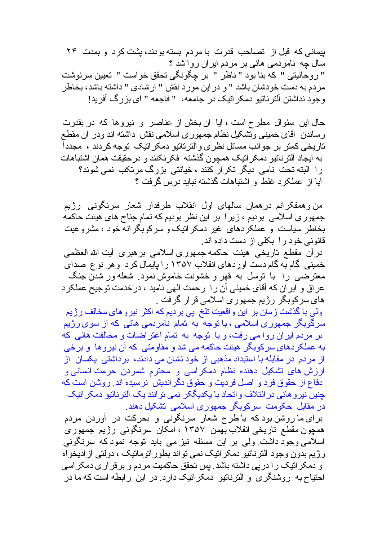بیمانی که قبل از تصاحب قدرت با مردم بسته بودند، بشت کرد و بمدت ۲۴ سال چه نامردمی هائی بر مردم ایران روا شد ؟ " روحانيتي " كه بنا بود " ناظر " بر چگونگي تحقق خواست " تعيين سرنوشت مر دم به دست خو دشان باشد " و در این مورد نقش " ار شادی " داشته باشد، بخاطر وجود نداشتن آلتز ناتيو دمكر اتيک در جامعه، "فاجعه " اي بز رگ آفريد!

حال این سئوال مطرح است ، آیا آن بخش از عناصر و نیروها که در بقدرت رساندن ۖ أقاى خمينـي وتُشكيل نظام جمهور ى اسلامـي نقش ۖ داشته اند ودر ۖ أن مقطـع تاریخی کمتر بر جوانب مسائل نظری و آلترناتیو دمکر اتیک توجه کردند ، مجدداً به ایجاد آلترناتیو دمکر اتیک همچون گذشته فکرنکنند و درحقیقت همان اشتباهات را البته تحت نامی دیگر تکرار کنند ، خیانتی بزرگ مرتکب نمی شوند؟ آبا از عملکر د غلط و اشتباهات گذشته نبابد در س گر فت ؟

من وهمفكرانم درهمان سالهاى اول انقلاب طرفدار شعار سرنگونى رژيم جمهوری اسلامی بودیم ، زیرا بر این نظر بودیم که تمام جناح های هیئت حاکمه بخاطر سیاست و عملکر دهای غیر دمکر اتیک و سرکوبگر انه خود ، مشر و عیت قانونی خود را بکلی از دست داده اند.

در آن مقطع ناریخی هیئت حاکمه جمهوری اسلامی بر هبری آیت الله العظمی خمینی گام به گام دست آور دهای انقلاب ۱۳۵۷ ر ا پایمال کر د و هر نوع صدای معترضی را با نوسل به قهر و خشونت خاموش نمود. شعله ور شدن جنگ عراق و ابر ان كه آقاي خميني آن را رحمت الهي ناميد ، در خدمت توجيح عملكر د های سرکوبگر رژیم جمهوری اسلامی قرار گرفت <sub>.</sub>

ولی با گذشت زمان بر این واقعیت تلخ پی بردیم که اکثر نیروهای مخالف رژیم سرگوبگر جمهوری اسلامی ، با توجه به تمام نامردمی هائی که از سوی رژیم بر مردم ایران روا می رفت، و با توجه به تمام اعتراضات و مخالفت هائی که به عملکردهای سرکوبگر هیئت حاکمه می شد و مقاومتی که آن نیروها و برخی از مردم در مقابله با استبداد مذهبی از خود نشان می دادند، برداشتی یکسان از ارزش های تشکیل دهنده نظام دمکراسی و محترم شمردن حرمت انسانی و دفاع از حقوق فرد و اصل فردیت و حقوق دگر اندیش نرسیده اند. روشن است که چنین نیر و هائی در ائتلاف و اتحاد با یکدیگکر نمی تو انند یک آلتر ناتیو دمکر اتیک در مقابل حکوّمت سرکوبگر جمهوری اسلامی تشکیل دهند.

بر ای ما روشن بود که با طرح شعار سرنگونی و بحرکت در آوردن مردم همچون مقطع تاریخی انقلاب ببهمن ۱۳۵۷ ، امکان سرنگونی رژیم جمهوری اسلامی وجود داشت ولی بر این مسئله نیز می باید نوجه نمود که سرنگونی رژیم بدون وجود آلترناتیو دمکر اتیک نمی تواند بطور آتوماتیک ، دولتی آز ادیخواه و دمکر اتیک را درپی داشته باشد. پس تحقق حاکمیت مردم و بر قراری دمکر اسی احتیاج به روشنگری و آلترناتیو دمکر اتیک دارد در این رابطه است که ما در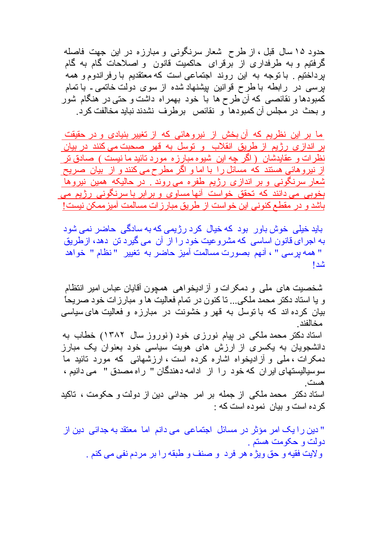حدود ۱۵ سال قبل ، از طرح شعار سرنگونی و مبارزه در این جهت فاصله گرفتیم و به طرفداری از برقرای حاکمیت قانون و اصلاحات گام به گام پرداختیم ِ با توجه به این روند اجتماعی است که معتقدیم با رفراندوم و همه برسی در رابطه باطرح قوانین بیشنهادشده از سوی دولت خاتمی ـ با تمام کمبودها و نقائصبی که آن طرح ها با خود بهمراه داشت و حتی در هنگام شور و بحث در مجلس آن كمبودها و نقائص برطرف نشدند نبايد مخالفت كرد.

ما بر این نظریم که آن بخش از نیروهائی که از تغییر بنیادی و در حقیقت بر اندازی رژیم از طریق انقلاب و توسل به قهر صحبت *می*کنند در بیان نظرات و عقایدشان ( اگر چه این شیوه مبارز ه مورد تائید ما نیست ) صادق تر از نیروهائی هستند که مسائل را با اما و اگر مطرح می کنند و از بیان صریح شعار سرنگونی و بر اندازی رژیم طفره می روند ً ٍ در حالیکه همین نیروها بخوبی می دانند که تحقق خواست آنها مساوی و برابر با سرنگونی رژیم می باشد و در ًمقطـع کنو نـی این خو است از ً طر یق مبار ز ات مسالمت آمیز ممکن نیست!

باید خیلی خوش باور بود که خیال کرد رژیمی که به سادگی حاضر نمی شود به اجر ای قانون اساسی که مشروعیت خود را از آن می گیرد تن دهد، از طریق " همه بر سي " ، آنهم بصورت مسالمت آميز حاضر به تغيير " نظام " خواهد شدا

شخصيت هاي ملي و دمكر ات و آز اديخو اهي همچون آقايان عباس امير انتظام و یا استاد دکتر محمد ملکی... تا کنون در تمام فعالیت ها و مبارز ات خود صریحاً بیان کرده اند که با توسل به قهر و خشونت در مبارزه و فعالیت های سیاسی مخالفند

استاد دکتر محمد ملکی در بیام نورزی خود (نوروز سال ۱۳۸۲) خطاب به دانشجویان به یکسری از ارزش های هویت سیاسی خود بعنوان یک مبارز دمکر ات ، ملَّى و آز ادیخو اه اشار ه کر ده است ، ار ز شهائـی که مورد تائید ما سوسیالیستهای ایر اِن که خود را از ادامه دهندگان " راه مصدق " می دانیم ، هست استاد دکتر محمد ملکی از جمله بر امر جدائی دین از دولت و حکومت ، تاکید

کر ده است و بيان نمو ده است که :

" دین ر ا یک امر مؤثر در مسائل اجتماعی می دانم اما معتقد به جدائی دین از دولت و حکومت هستم . ولايت فقيه و حق ويژه هر فرد و صنف و طبقه را بر مردم نفي مي كنم .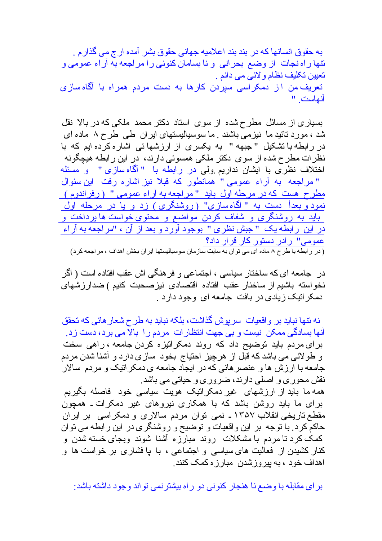به حقو ق انسانها که در بند بند اعلامیه جهانی حقوق بشر آمده ار ج می گذار م . تنها راه نجات از وضع بحرانی و نا بسامان کنونی را مراجعه به آراء عمومی و تعيين تكليف نظام و لائبي مي دانم . تعریف من از دمکراسی سبردن کارها به دست مردم همراه با آگاهسازی آنهاست "

بسیاری از مسائل مطرح شده از سوی استاد دکتر محمد ملکی که در بالا نقل شد ، مورد نائید ما نیزمی باشند <sub>.</sub> ما سوسیالیستهای ایر ان طی طر ح ۸ ماده ای در رابطه با نشکیل " جبهه " به یکسری از ارزشها ئی اشاره کرده ایم که با نظر ات مطر ح شده از سوی دکتر ملکی همسوئی دارند، در این ر ابطه هیچگونه اختلاف نظری با ایشان نداریم ولی <u>در رابطه با "آگاه سازی" و مسئله </u> " مراجعه به آراء عمومی " همانطور که قبلاً نیز اشاره رفت این سئوال مطرح هست كه در مرحله اول بايد "مراجعه به آراء عمومى " (رفراندوم) نمود و بعداً دست به " آگاه سازی" (روشنگری) زد و یا در مرحله اولْ باید به روشنگری و شفاف کردن مواضع و مُحتوی خواست ها پرداخت و در این رابطه یک " جبش نظری " بوجود آورد و بعد از آن ، "مراجعه به آراء عمومی" رادر دستور کار قرار داد؟ ( در رابطه با طرح ۸ ماده ای می توان به سایت سازمان سوسیالیستها ایران بخش اهداف ، مراجعه کرد)

در ً جامعه ای که ساختار سیاسی ، اجتماعی و فر هنگی اش عقب افتاده است ( اگر نخواسته باشیم از ساخنار عقب افتاده اقتصادی نیزصحبت کنیم )ضدارزشهای دمکر انیک زبادی در بافت جامعه ای وجود دارد .

نه نتها نباید بر واقعیات ِ سرپوش گذاشت، بلکه نباید به طرح شعار هائی که تحقق آنها بسادگی ممکن نیست و بی جهت انتظار ات مردم ر ا بالا می برد، دست زد ـ برای مردم باید توضیح داد که روند دمکراتیزه کردن جامعه ، راهی سخت و طولانی می باشد که قبل از هرچیز احتیاج بخود سازی دارد و أشنا شدن مردم جامعه با ارزش ها و عنصر هائبي كه در ايجاد جامعه ي دمكر انيك و مر دم سالار نقش محور ی و اصلی دارند، ضروری و حیاتی می باشد. همه ما باید از ارزشهای غیر دمکرانیک هویت سیاسی خود فاصله بگیریم بر ای ما باید روشن باشد که با همکاری نیروهای غیر دمکرات۔ همجون مقطع تاریخی انقلاب ۱۳۵۷ ـ نمی توان مردم سالاری و دمکر اسی بر ایران حاکم کرد ِ با نوجه بر این واقعیات و نوضیح و روشنگری در این رابطه می نوان کمک کرد تا مردم با مشکلات ً روند مبارزه آشنا شوند وبجای خسته شدن و کنار کشیدن از فعالیت های سیاسی و اجتماعی ، با پا فشاری بر خواست ها و اهداف خود ، به بیروزشدن ً مبارزه کمک کنند.

بر ای مقابله با وضع نا هنجار کنونی دو راه بیشترنمی تواند وجود داشته باشد: